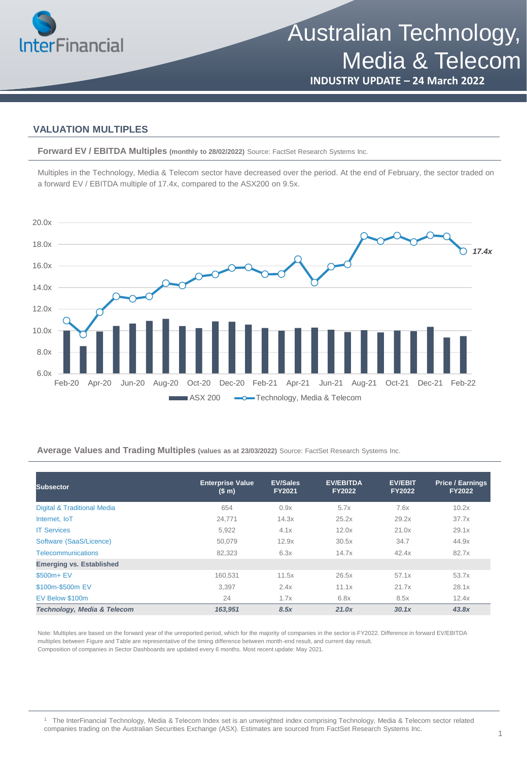

# **INDUSTRY UPDATE – 24 March 2022**

### **VALUATION MULTIPLES**

**Forward EV / EBITDA Multiples (monthly to 28/02/2022)** Source: FactSet Research Systems Inc.

Multiples in the Technology, Media & Telecom sector have decreased over the period. At the end of February, the sector traded on a forward EV / EBITDA multiple of 17.4x, compared to the ASX200 on 9.5x.



### **Average Values and Trading Multiples (values as at 23/03/2022)** Source: FactSet Research Systems Inc.

| <b>Subsector</b>                       | <b>Enterprise Value</b><br>(S <sub>m</sub> ) | <b>EV/Sales</b><br><b>FY2021</b> | <b>EV/EBITDA</b><br><b>FY2022</b> | <b>EV/EBIT</b><br><b>FY2022</b> | <b>Price / Earnings</b><br><b>FY2022</b> |
|----------------------------------------|----------------------------------------------|----------------------------------|-----------------------------------|---------------------------------|------------------------------------------|
| <b>Digital &amp; Traditional Media</b> | 654                                          | 0.9x                             | 5.7x                              | 7.6x                            | 10.2x                                    |
| Internet. IoT                          | 24,771                                       | 14.3x                            | 25.2x                             | 29.2x                           | 37.7x                                    |
| <b>IT Services</b>                     | 5,922                                        | 4.1x                             | 12.0x                             | 21.0x                           | 29.1x                                    |
| Software (SaaS/Licence)                | 50.079                                       | 12.9x                            | 30.5x                             | 34.7                            | 44.9x                                    |
| <b>Telecommunications</b>              | 82.323                                       | 6.3x                             | 14.7x                             | 42.4x                           | 82.7x                                    |
| <b>Emerging vs. Established</b>        |                                              |                                  |                                   |                                 |                                          |
| \$500m+ EV                             | 160.531                                      | 11.5x                            | 26.5x                             | 57.1x                           | 53.7x                                    |
| \$100m-\$500m EV                       | 3,397                                        | 2.4x                             | 11.1x                             | 21.7x                           | 28.1x                                    |
| EV Below \$100m                        | 24                                           | 1.7x                             | 6.8x                              | 8.5x                            | 12.4x                                    |
| Technology, Media & Telecom            | 163,951                                      | 8.5x                             | 21.0x                             | 30.1x                           | 43.8x                                    |

Note: Multiples are based on the forward year of the unreported period, which for the majority of companies in the sector is FY2022. Difference in forward EV/EBITDA multiples between Figure and Table are representative of the timing difference between month-end result, and current day result. Composition of companies in Sector Dashboards are updated every 6 months. Most recent update: May 2021.

<sup>1</sup> The InterFinancial Technology, Media & Telecom Index set is an unweighted index comprising Technology, Media & Telecom sector related companies trading on the Australian Securities Exchange (ASX). Estimates are sourced from FactSet Research Systems Inc.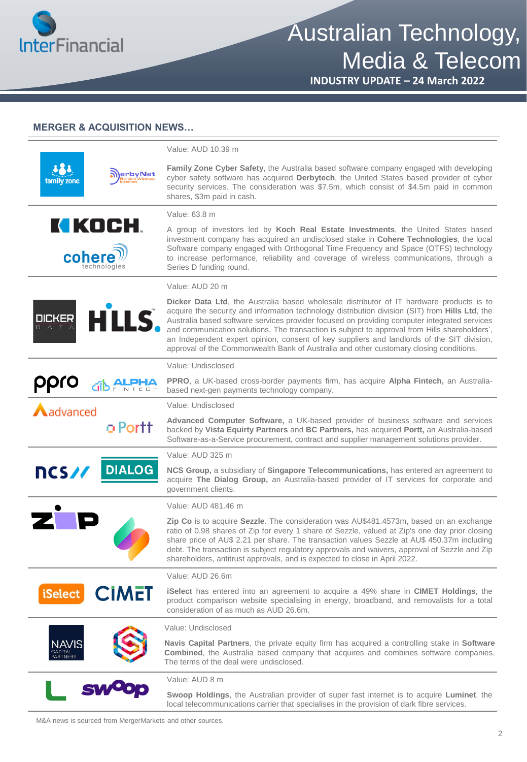

Australian Technology, Media & Telecom

**INDUSTRY UPDATE – 24 March 2022**

## **MERGER & ACQUISITION NEWS…**

|                      |                          | Value: AUD 10.39 m                                                                                                                                                                                                                                                                                                                                                                                                                                                                                                                                                                           |
|----------------------|--------------------------|----------------------------------------------------------------------------------------------------------------------------------------------------------------------------------------------------------------------------------------------------------------------------------------------------------------------------------------------------------------------------------------------------------------------------------------------------------------------------------------------------------------------------------------------------------------------------------------------|
| family zone          | erbyNet                  | Family Zone Cyber Safety, the Australia based software company engaged with developing<br>cyber safety software has acquired Derbytech, the United States based provider of cyber<br>security services. The consideration was \$7.5m, which consist of \$4.5m paid in common<br>shares, \$3m paid in cash.                                                                                                                                                                                                                                                                                   |
|                      |                          | Value: 63.8 m                                                                                                                                                                                                                                                                                                                                                                                                                                                                                                                                                                                |
| cohere               | KI KOCH.<br>technologies | A group of investors led by Koch Real Estate Investments, the United States based<br>investment company has acquired an undisclosed stake in Cohere Technologies, the local<br>Software company engaged with Orthogonal Time Frequency and Space (OTFS) technology<br>to increase performance, reliability and coverage of wireless communications, through a<br>Series D funding round.                                                                                                                                                                                                     |
|                      |                          | Value: AUD 20 m                                                                                                                                                                                                                                                                                                                                                                                                                                                                                                                                                                              |
| <b>DICKER</b>        | HLLS.                    | <b>Dicker Data Ltd</b> , the Australia based wholesale distributor of IT hardware products is to<br>acquire the security and information technology distribution division (SIT) from Hills Ltd, the<br>Australia based software services provider focused on providing computer integrated services<br>and communication solutions. The transaction is subject to approval from Hills shareholders',<br>an Independent expert opinion, consent of key suppliers and landlords of the SIT division,<br>approval of the Commonwealth Bank of Australia and other customary closing conditions. |
|                      |                          | Value: Undisclosed                                                                                                                                                                                                                                                                                                                                                                                                                                                                                                                                                                           |
| ppro                 |                          | PPRO, a UK-based cross-border payments firm, has acquire Alpha Fintech, an Australia-<br>based next-gen payments technology company.                                                                                                                                                                                                                                                                                                                                                                                                                                                         |
| $\bigwedge$ advanced |                          | Value: Undisclosed                                                                                                                                                                                                                                                                                                                                                                                                                                                                                                                                                                           |
|                      | o Portt                  | Advanced Computer Software, a UK-based provider of business software and services<br>backed by Vista Equirty Partners and BC Partners, has acquired Portt, an Australia-based<br>Software-as-a-Service procurement, contract and supplier management solutions provider.                                                                                                                                                                                                                                                                                                                     |
|                      |                          | Value: AUD 325 m                                                                                                                                                                                                                                                                                                                                                                                                                                                                                                                                                                             |
| ncs//                | <b>DIALOG</b>            | NCS Group, a subsidiary of Singapore Telecommunications, has entered an agreement to<br>acquire The Dialog Group, an Australia-based provider of IT services for corporate and<br>government clients.                                                                                                                                                                                                                                                                                                                                                                                        |
|                      |                          | Value: AUD 481.46 m                                                                                                                                                                                                                                                                                                                                                                                                                                                                                                                                                                          |
|                      |                          | Zip Co is to acquire Sezzle. The consideration was AU\$481.4573m, based on an exchange<br>ratio of 0.98 shares of Zip for every 1 share of Sezzle, valued at Zip's one day prior closing<br>share price of AU\$ 2.21 per share. The transaction values Sezzle at AU\$ 450.37m including<br>debt. The transaction is subject regulatory approvals and waivers, approval of Sezzle and Zip<br>shareholders, antitrust approvals, and is expected to close in April 2022.                                                                                                                       |
|                      |                          | Value: AUD 26.6m                                                                                                                                                                                                                                                                                                                                                                                                                                                                                                                                                                             |
| iSelect              | <b>CIMET</b>             | <b>iSelect</b> has entered into an agreement to acquire a 49% share in <b>CIMET Holdings</b> , the<br>product comparison website specialising in energy, broadband, and removalists for a total<br>consideration of as much as AUD 26.6m.                                                                                                                                                                                                                                                                                                                                                    |
|                      |                          | Value: Undisclosed                                                                                                                                                                                                                                                                                                                                                                                                                                                                                                                                                                           |
| NAVIS                |                          | Navis Capital Partners, the private equity firm has acquired a controlling stake in Software<br>Combined, the Australia based company that acquires and combines software companies.<br>The terms of the deal were undisclosed.                                                                                                                                                                                                                                                                                                                                                              |
|                      |                          | Value: AUD 8 m                                                                                                                                                                                                                                                                                                                                                                                                                                                                                                                                                                               |
|                      |                          | Swoop Holdings, the Australian provider of super fast internet is to acquire Luminet, the<br>local telecommunications carrier that specialises in the provision of dark fibre services.                                                                                                                                                                                                                                                                                                                                                                                                      |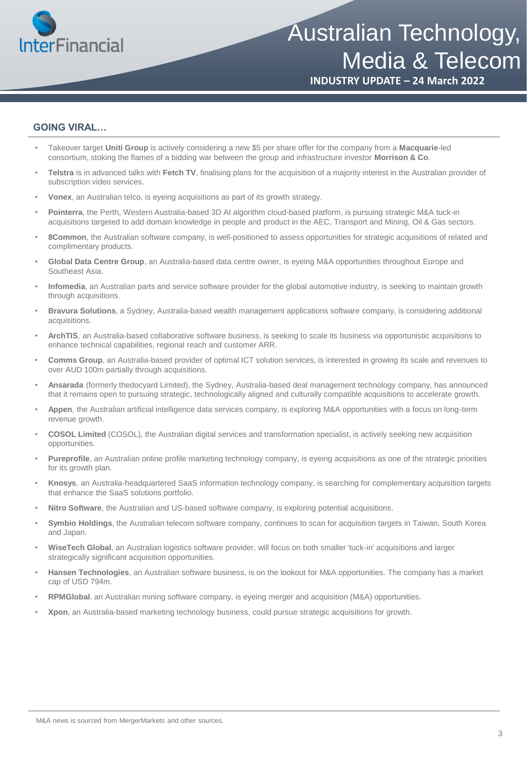

# Australian Technology, Media & Telecom

**INDUSTRY UPDATE – 24 March 2022**

### **GOING VIRAL…**

- Takeover target **Uniti Group** is actively considering a new \$5 per share offer for the company from a **Macquarie**-led consortium, stoking the flames of a bidding war between the group and infrastructure investor **Morrison & Co**.
- **Telstra** is in advanced talks with **Fetch TV**, finalising plans for the acquisition of a majority interest in the Australian provider of subscription video services.
- **Vonex**, an Australian telco, is eyeing acquisitions as part of its growth strategy.
- **Pointerra**, the Perth, Western Australia-based 3D AI algorithm cloud-based platform, is pursuing strategic M&A tuck-in acquisitions targeted to add domain knowledge in people and product in the AEC, Transport and Mining, Oil & Gas sectors.
- **8Common**, the Australian software company, is well-positioned to assess opportunities for strategic acquisitions of related and complimentary products.
- **Global Data Centre Group**, an Australia-based data centre owner, is eyeing M&A opportunities throughout Europe and Southeast Asia.
- **Infomedia**, an Australian parts and service software provider for the global automotive industry, is seeking to maintain growth through acquisitions.
- **Bravura Solutions**, a Sydney, Australia-based wealth management applications software company, is considering additional acquisitions.
- **ArchTIS**, an Australia-based collaborative software business, is seeking to scale its business via opportunistic acquisitions to enhance technical capabilities, regional reach and customer ARR.
- **Comms Group**, an Australia-based provider of optimal ICT solution services, is interested in growing its scale and revenues to over AUD 100m partially through acquisitions.
- **Ansarada** (formerly thedocyard Limited), the Sydney, Australia-based deal management technology company, has announced that it remains open to pursuing strategic, technologically aligned and culturally compatible acquisitions to accelerate growth.
- **Appen**, the Australian artificial intelligence data services company, is exploring M&A opportunities with a focus on long-term revenue growth.
- **COSOL Limited** (COSOL), the Australian digital services and transformation specialist, is actively seeking new acquisition opportunities.
- **Pureprofile**, an Australian online profile marketing technology company, is eyeing acquisitions as one of the strategic priorities for its growth plan.
- **Knosys**, an Australia-headquartered SaaS information technology company, is searching for complementary acquisition targets that enhance the SaaS solutions portfolio.
- **Nitro Software**, the Australian and US-based software company, is exploring potential acquisitions.
- **Symbio Holdings**, the Australian telecom software company, continues to scan for acquisition targets in Taiwan, South Korea and Japan.
- **WiseTech Global**, an Australian logistics software provider, will focus on both smaller 'tuck-in' acquisitions and larger strategically significant acquisition opportunities.
- **Hansen Technologies**, an Australian software business, is on the lookout for M&A opportunities. The company has a market cap of USD 794m.
- **RPMGlobal**, an Australian mining software company, is eyeing merger and acquisition (M&A) opportunities.
- **Xpon**, an Australia-based marketing technology business, could pursue strategic acquisitions for growth.